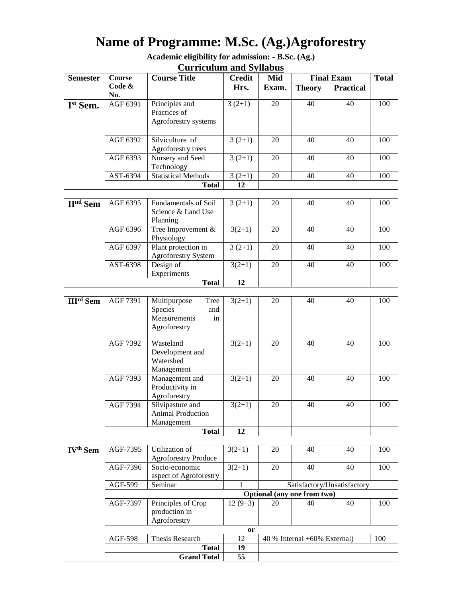# **Name of Programme: M.Sc. (Ag.)Agroforestry**

**Academic eligibility for admission: - B.Sc. (Ag.) Curriculum and Syllabus**

| <b>Semester</b>      | <b>Course</b> | <b>Course Title</b>                                    | Credit   | Mid   | <b>Final Exam</b> |                  | <b>Total</b> |
|----------------------|---------------|--------------------------------------------------------|----------|-------|-------------------|------------------|--------------|
|                      | Code &<br>No. |                                                        | Hrs.     | Exam. | <b>Theory</b>     | <b>Practical</b> |              |
| I <sup>st</sup> Sem. | AGF 6391      | Principles and<br>Practices of<br>Agroforestry systems | $3(2+1)$ | 20    | 40                | 40               | 100          |
|                      | AGF 6392      | Silviculture of<br>Agroforestry trees                  | $3(2+1)$ | 20    | 40                | 40               | 100          |
|                      | AGF 6393      | Nursery and Seed<br>Technology                         | $3(2+1)$ | 20    | 40                | 40               | 100          |
|                      | AST-6394      | <b>Statistical Methods</b>                             | $3(2+1)$ | 20    | 40                | 40               | 100          |
|                      |               | <b>Total</b>                                           | 12       |       |                   |                  |              |

| $IInd$ Sem | AGF 6395 | Fundamentals of Soil<br>Science & Land Use | $3(2+1)$ | 20 | 40 | 40 | 100 |
|------------|----------|--------------------------------------------|----------|----|----|----|-----|
|            |          | Planning                                   |          |    |    |    |     |
|            | AGF 6396 | Tree Improvement $&$                       | $3(2+1)$ | 20 | 40 | 40 | 100 |
|            |          | Physiology                                 |          |    |    |    |     |
|            | AGF 6397 | Plant protection in                        | $3(2+1)$ | 20 | 40 | 40 | 100 |
|            |          | <b>Agroforestry System</b>                 |          |    |    |    |     |
|            | AST-6398 | Design of                                  | $3(2+1)$ | 20 | 40 | 40 | 100 |
|            |          | Experiments                                |          |    |    |    |     |
|            |          | <b>Total</b>                               | 12       |    |    |    |     |

| <b>III<sup>rd</sup></b> Sem | AGF 7391 | Tree<br>Multipurpose<br>Species<br>and<br><b>Measurements</b><br>in<br>Agroforestry | $3(2+1)$ | 20 | 40 | 40 | 100 |
|-----------------------------|----------|-------------------------------------------------------------------------------------|----------|----|----|----|-----|
|                             | AGF 7392 | Wasteland<br>Development and<br>Watershed<br>Management                             | $3(2+1)$ | 20 | 40 | 40 | 100 |
|                             | AGF 7393 | Management and<br>Productivity in<br>Agroforestry                                   | $3(2+1)$ | 20 | 40 | 40 | 100 |
|                             | AGF 7394 | Silvipasture and<br>Animal Production<br>Management                                 | $3(2+1)$ | 20 | 40 | 40 | 100 |
|                             |          | <b>Total</b>                                                                        | 12       |    |    |    |     |

| IV <sup>th</sup> Sem | AGF-7395                    | Utilization of<br><b>Agroforestry Produce</b>       | $3(2+1)$  | 20                                       | 40 | 40 | 100 |  |  |
|----------------------|-----------------------------|-----------------------------------------------------|-----------|------------------------------------------|----|----|-----|--|--|
|                      | AGF-7396                    | Socio-economic<br>aspect of Agroforestry            | $3(2+1)$  | 20                                       | 40 | 40 | 100 |  |  |
|                      | AGF-599                     | Seminar                                             |           | Satisfactory/Unsatisfactory              |    |    |     |  |  |
|                      | Optional (any one from two) |                                                     |           |                                          |    |    |     |  |  |
|                      | AGF-7397                    | Principles of Crop<br>production in<br>Agroforestry | $12(9+3)$ | 20                                       | 40 | 40 | 100 |  |  |
|                      | <sub>or</sub>               |                                                     |           |                                          |    |    |     |  |  |
|                      | <b>AGF-598</b>              | Thesis Research                                     | 12        | 100<br>$40\%$ Internal $+60\%$ External) |    |    |     |  |  |
|                      |                             | <b>Total</b>                                        | 19        |                                          |    |    |     |  |  |
|                      |                             | <b>Grand Total</b>                                  | 55        |                                          |    |    |     |  |  |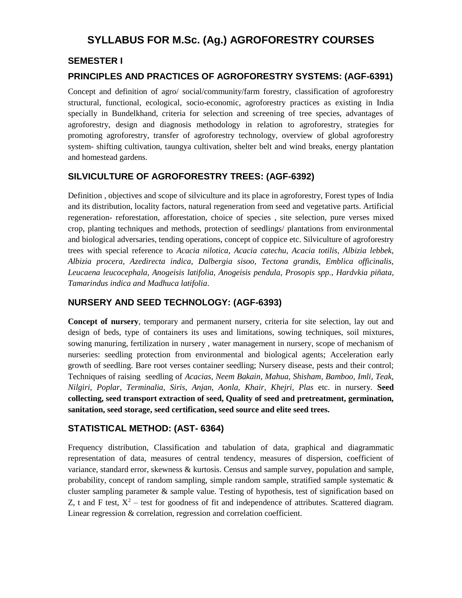# **SYLLABUS FOR M.Sc. (Ag.) AGROFORESTRY COURSES**

#### **SEMESTER I**

#### **PRINCIPLES AND PRACTICES OF AGROFORESTRY SYSTEMS: (AGF-6391)**

Concept and definition of agro/ social/community/farm forestry, classification of agroforestry structural, functional, ecological, socio-economic, agroforestry practices as existing in India specially in Bundelkhand, criteria for selection and screening of tree species, advantages of agroforestry, design and diagnosis methodology in relation to agroforestry, strategies for promoting agroforestry, transfer of agroforestry technology, overview of global agroforestry system- shifting cultivation, taungya cultivation, shelter belt and wind breaks, energy plantation and homestead gardens.

#### **SILVICULTURE OF AGROFORESTRY TREES: (AGF-6392)**

Definition , objectives and scope of silviculture and its place in agroforestry, Forest types of India and its distribution, locality factors, natural regeneration from seed and vegetative parts. Artificial regeneration- reforestation, afforestation, choice of species , site selection, pure verses mixed crop, planting techniques and methods, protection of seedlings/ plantations from environmental and biological adversaries, tending operations, concept of coppice etc. Silviculture of agroforestry trees with special reference to *Acacia nilotica, Acacia catechu, Acacia totilis, Albizia lebbek, Albizia procera, Azedirecta indica, Dalbergia sisoo, Tectona grandis, Emblica officinalis, Leucaena leucocephala, Anogeisis latifolia, Anogeisis pendula, Prosopis spp., Hardvkia piñata, Tamarindus indica and Madhuca latifolia*.

#### **NURSERY AND SEED TECHNOLOGY: (AGF-6393)**

**Concept of nursery**, temporary and permanent nursery, criteria for site selection, lay out and design of beds, type of containers its uses and limitations, sowing techniques, soil mixtures, sowing manuring, fertilization in nursery , water management in nursery, scope of mechanism of nurseries: seedling protection from environmental and biological agents; Acceleration early growth of seedling. Bare root verses container seedling; Nursery disease, pests and their control; Techniques of raising seedling of *Acacias, Neem Bakain, Mahua, Shisham, Bamboo, Imli, Teak, Nilgiri, Poplar, Terminalia, Siris, Anjan, Aonla, Khair, Khejri, Plas* etc. in nursery. **Seed collecting, seed transport extraction of seed, Quality of seed and pretreatment, germination, sanitation, seed storage, seed certification, seed source and elite seed trees.**

#### **STATISTICAL METHOD: (AST- 6364)**

Frequency distribution, Classification and tabulation of data, graphical and diagrammatic representation of data, measures of central tendency, measures of dispersion, coefficient of variance, standard error, skewness & kurtosis. Census and sample survey, population and sample, probability, concept of random sampling, simple random sample, stratified sample systematic  $\&$ cluster sampling parameter  $\&$  sample value. Testing of hypothesis, test of signification based on Z, t and F test,  $X^2$  – test for goodness of fit and independence of attributes. Scattered diagram. Linear regression & correlation, regression and correlation coefficient.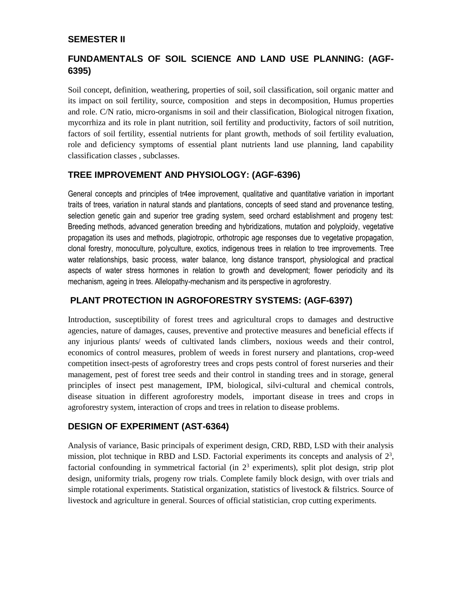#### **SEMESTER II**

# **FUNDAMENTALS OF SOIL SCIENCE AND LAND USE PLANNING: (AGF-6395)**

Soil concept, definition, weathering, properties of soil, soil classification, soil organic matter and its impact on soil fertility, source, composition and steps in decomposition, Humus properties and role. C/N ratio, micro-organisms in soil and their classification, Biological nitrogen fixation, mycorrhiza and its role in plant nutrition, soil fertility and productivity, factors of soil nutrition, factors of soil fertility, essential nutrients for plant growth, methods of soil fertility evaluation, role and deficiency symptoms of essential plant nutrients land use planning, land capability classification classes , subclasses.

#### **TREE IMPROVEMENT AND PHYSIOLOGY: (AGF-6396)**

General concepts and principles of tr4ee improvement, qualitative and quantitative variation in important traits of trees, variation in natural stands and plantations, concepts of seed stand and provenance testing, selection genetic gain and superior tree grading system, seed orchard establishment and progeny test: Breeding methods, advanced generation breeding and hybridizations, mutation and polyploidy, vegetative propagation its uses and methods, plagiotropic, orthotropic age responses due to vegetative propagation, clonal forestry, monoculture, polyculture, exotics, indigenous trees in relation to tree improvements. Tree water relationships, basic process, water balance, long distance transport, physiological and practical aspects of water stress hormones in relation to growth and development; flower periodicity and its mechanism, ageing in trees. Allelopathy-mechanism and its perspective in agroforestry.

# **PLANT PROTECTION IN AGROFORESTRY SYSTEMS: (AGF-6397)**

Introduction, susceptibility of forest trees and agricultural crops to damages and destructive agencies, nature of damages, causes, preventive and protective measures and beneficial effects if any injurious plants/ weeds of cultivated lands climbers, noxious weeds and their control, economics of control measures, problem of weeds in forest nursery and plantations, crop-weed competition insect-pests of agroforestry trees and crops pests control of forest nurseries and their management, pest of forest tree seeds and their control in standing trees and in storage, general principles of insect pest management, IPM, biological, silvi-cultural and chemical controls, disease situation in different agroforestry models, important disease in trees and crops in agroforestry system, interaction of crops and trees in relation to disease problems.

#### **DESIGN OF EXPERIMENT (AST-6364)**

Analysis of variance, Basic principals of experiment design, CRD, RBD, LSD with their analysis mission, plot technique in RBD and LSD. Factorial experiments its concepts and analysis of  $2<sup>3</sup>$ , factorial confounding in symmetrical factorial (in  $2<sup>3</sup>$  experiments), split plot design, strip plot design, uniformity trials, progeny row trials. Complete family block design, with over trials and simple rotational experiments. Statistical organization, statistics of livestock & filstrics. Source of livestock and agriculture in general. Sources of official statistician, crop cutting experiments.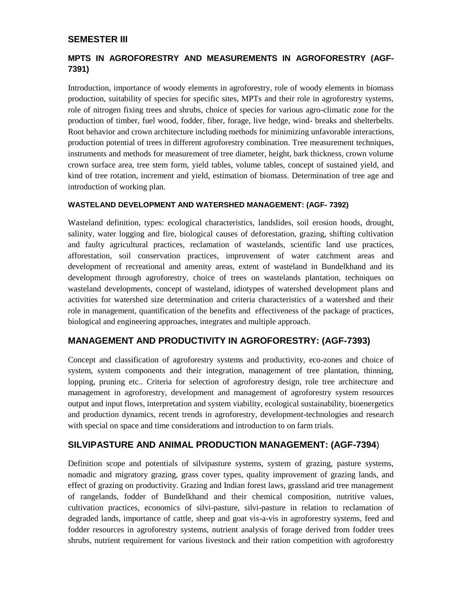#### **SEMESTER III**

# **MPTS IN AGROFORESTRY AND MEASUREMENTS IN AGROFORESTRY (AGF-7391)**

Introduction, importance of woody elements in agroforestry, role of woody elements in biomass production, suitability of species for specific sites, MPTs and their role in agroforestry systems, role of nitrogen fixing trees and shrubs, choice of species for various agro-climatic zone for the production of timber, fuel wood, fodder, fiber, forage, live hedge, wind- breaks and shelterbelts. Root behavior and crown architecture including methods for minimizing unfavorable interactions, production potential of trees in different agroforestry combination. Tree measurement techniques, instruments and methods for measurement of tree diameter, height, bark thickness, crown volume crown surface area, tree stem form, yield tables, volume tables, concept of sustained yield, and kind of tree rotation, increment and yield, estimation of biomass. Determination of tree age and introduction of working plan.

#### **WASTELAND DEVELOPMENT AND WATERSHED MANAGEMENT: (AGF- 7392)**

Wasteland definition, types: ecological characteristics, landslides, soil erosion hoods, drought, salinity, water logging and fire, biological causes of deforestation, grazing, shifting cultivation and faulty agricultural practices, reclamation of wastelands, scientific land use practices, afforestation, soil conservation practices, improvement of water catchment areas and development of recreational and amenity areas, extent of wasteland in Bundelkhand and its development through agroforestry, choice of trees on wastelands plantation, techniques on wasteland developments, concept of wasteland, idiotypes of watershed development plans and activities for watershed size determination and criteria characteristics of a watershed and their role in management, quantification of the benefits and effectiveness of the package of practices, biological and engineering approaches, integrates and multiple approach.

#### **MANAGEMENT AND PRODUCTIVITY IN AGROFORESTRY: (AGF-7393)**

Concept and classification of agroforestry systems and productivity, eco-zones and choice of system, system components and their integration, management of tree plantation, thinning, lopping, pruning etc.. Criteria for selection of agroforestry design, role tree architecture and management in agroforestry, development and management of agroforestry system resources output and input flows, interpretation and system viability, ecological sustainability, bioenergetics and production dynamics, recent trends in agroforestry, development-technologies and research with special on space and time considerations and introduction to on farm trials.

#### **SILVIPASTURE AND ANIMAL PRODUCTION MANAGEMENT: (AGF-7394**)

Definition scope and potentials of silvipasture systems, system of grazing, pasture systems, nomadic and migratory grazing, grass cover types, quality improvement of grazing lands, and effect of grazing on productivity. Grazing and Indian forest laws, grassland arid tree management of rangelands, fodder of Bundelkhand and their chemical composition, nutritive values, cultivation practices, economics of silvi-pasture, silvi-pasture in relation to reclamation of degraded lands, importance of cattle, sheep and goat vis-a-vis in agroforestry systems, feed and fodder resources in agroforestry systems, nutrient analysis of forage derived from fodder trees shrubs, nutrient requirement for various livestock and their ration competition with agroforestry